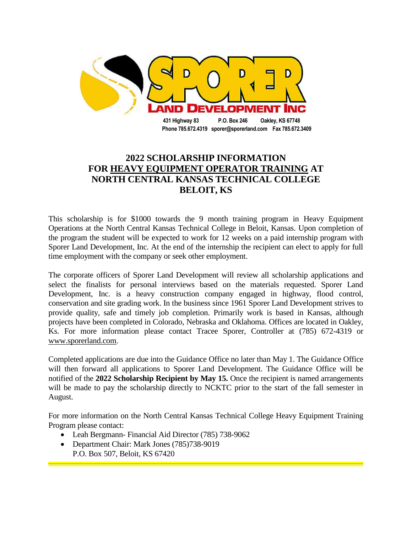

**2022 SCHOLARSHIP INFORMATION FOR HEAVY EQUIPMENT OPERATOR TRAINING AT NORTH CENTRAL KANSAS TECHNICAL COLLEGE BELOIT, KS**

This scholarship is for \$1000 towards the 9 month training program in Heavy Equipment Operations at the North Central Kansas Technical College in Beloit, Kansas. Upon completion of the program the student will be expected to work for 12 weeks on a paid internship program with Sporer Land Development, Inc. At the end of the internship the recipient can elect to apply for full time employment with the company or seek other employment.

The corporate officers of Sporer Land Development will review all scholarship applications and select the finalists for personal interviews based on the materials requested. Sporer Land Development, Inc. is a heavy construction company engaged in highway, flood control, conservation and site grading work. In the business since 1961 Sporer Land Development strives to provide quality, safe and timely job completion. Primarily work is based in Kansas, although projects have been completed in Colorado, Nebraska and Oklahoma. Offices are located in Oakley, Ks. For more information please contact Tracee Sporer, Controller at (785) 672-4319 or www.sporerland.com.

Completed applications are due into the Guidance Office no later than May 1. The Guidance Office will then forward all applications to Sporer Land Development. The Guidance Office will be notified of the **2022 Scholarship Recipient by May 15.** Once the recipient is named arrangements will be made to pay the scholarship directly to NCKTC prior to the start of the fall semester in August.

For more information on the North Central Kansas Technical College Heavy Equipment Training Program please contact:

- Leah Bergmann- Financial Aid Director (785) 738-9062
- Department Chair: Mark Jones (785)738-9019 P.O. Box 507, Beloit, KS 67420